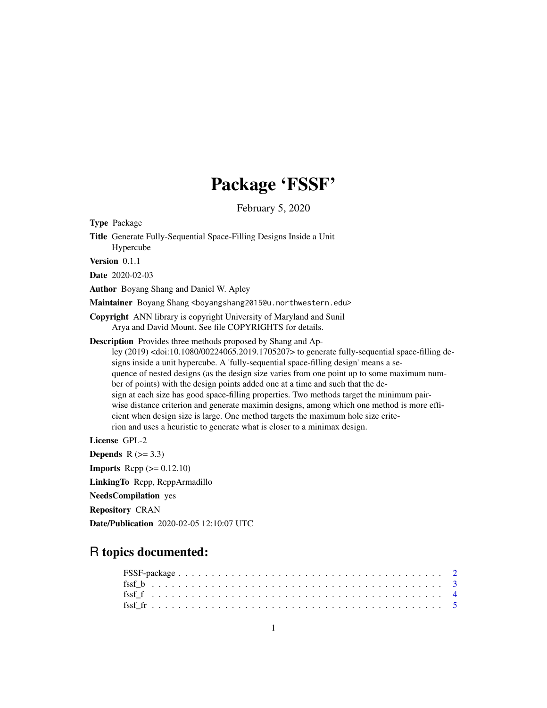# Package 'FSSF'

February 5, 2020

Type Package

Title Generate Fully-Sequential Space-Filling Designs Inside a Unit Hypercube

Version 0.1.1

Date 2020-02-03

Author Boyang Shang and Daniel W. Apley

Maintainer Boyang Shang <boyangshang2015@u.northwestern.edu>

Copyright ANN library is copyright University of Maryland and Sunil Arya and David Mount. See file COPYRIGHTS for details.

Description Provides three methods proposed by Shang and Apley (2019) <doi:10.1080/00224065.2019.1705207> to generate fully-sequential space-filling designs inside a unit hypercube. A 'fully-sequential space-filling design' means a sequence of nested designs (as the design size varies from one point up to some maximum number of points) with the design points added one at a time and such that the design at each size has good space-filling properties. Two methods target the minimum pairwise distance criterion and generate maximin designs, among which one method is more efficient when design size is large. One method targets the maximum hole size criterion and uses a heuristic to generate what is closer to a minimax design.

License GPL-2

Depends  $R$  ( $>= 3.3$ ) **Imports** Rcpp  $(>= 0.12.10)$ LinkingTo Rcpp, RcppArmadillo NeedsCompilation yes Repository CRAN Date/Publication 2020-02-05 12:10:07 UTC

# R topics documented: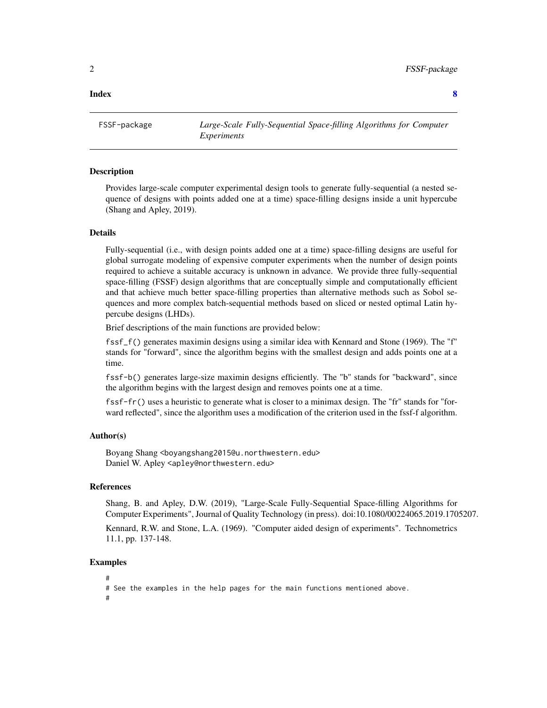#### <span id="page-1-0"></span>**Index** [8](#page-7-0) **8**

FSSF-package *Large-Scale Fully-Sequential Space-filling Algorithms for Computer Experiments*

## Description

Provides large-scale computer experimental design tools to generate fully-sequential (a nested sequence of designs with points added one at a time) space-filling designs inside a unit hypercube (Shang and Apley, 2019).

#### Details

Fully-sequential (i.e., with design points added one at a time) space-filling designs are useful for global surrogate modeling of expensive computer experiments when the number of design points required to achieve a suitable accuracy is unknown in advance. We provide three fully-sequential space-filling (FSSF) design algorithms that are conceptually simple and computationally efficient and that achieve much better space-filling properties than alternative methods such as Sobol sequences and more complex batch-sequential methods based on sliced or nested optimal Latin hypercube designs (LHDs).

Brief descriptions of the main functions are provided below:

fssf\_f() generates maximin designs using a similar idea with Kennard and Stone (1969). The "f" stands for "forward", since the algorithm begins with the smallest design and adds points one at a time.

fssf-b() generates large-size maximin designs efficiently. The "b" stands for "backward", since the algorithm begins with the largest design and removes points one at a time.

fssf-fr() uses a heuristic to generate what is closer to a minimax design. The "fr" stands for "forward reflected", since the algorithm uses a modification of the criterion used in the fssf-f algorithm.

#### Author(s)

Boyang Shang <boyangshang2015@u.northwestern.edu> Daniel W. Apley <apley@northwestern.edu>

#### References

Shang, B. and Apley, D.W. (2019), "Large-Scale Fully-Sequential Space-filling Algorithms for Computer Experiments", Journal of Quality Technology (in press). doi:10.1080/00224065.2019.1705207.

Kennard, R.W. and Stone, L.A. (1969). "Computer aided design of experiments". Technometrics 11.1, pp. 137-148.

#### Examples

```
#
# See the examples in the help pages for the main functions mentioned above.
#
```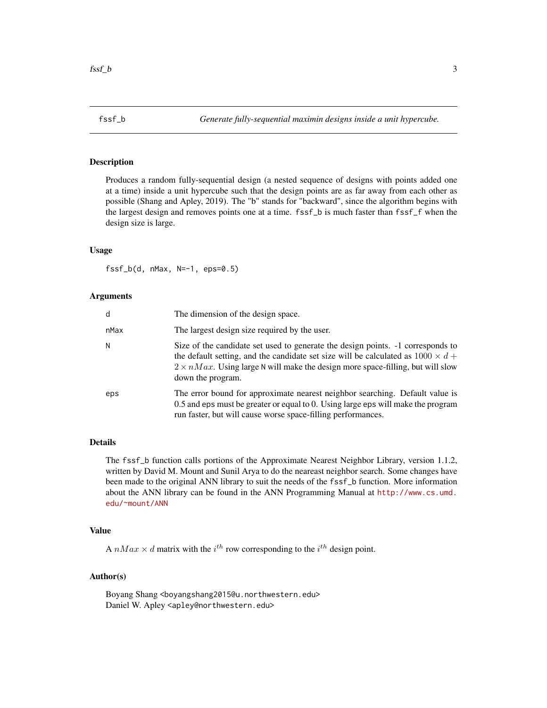<span id="page-2-0"></span>

# Description

Produces a random fully-sequential design (a nested sequence of designs with points added one at a time) inside a unit hypercube such that the design points are as far away from each other as possible (Shang and Apley, 2019). The "b" stands for "backward", since the algorithm begins with the largest design and removes points one at a time. fssf\_b is much faster than fssf\_f when the design size is large.

#### Usage

 $fssf_b(d, nMax, N=-1, eps=0.5)$ 

#### Arguments

| d    | The dimension of the design space.                                                                                                                                                                                                                                                        |
|------|-------------------------------------------------------------------------------------------------------------------------------------------------------------------------------------------------------------------------------------------------------------------------------------------|
| nMax | The largest design size required by the user.                                                                                                                                                                                                                                             |
| N    | Size of the candidate set used to generate the design points. -1 corresponds to<br>the default setting, and the candidate set size will be calculated as $1000 \times d +$<br>$2 \times nMax$ . Using large N will make the design more space-filling, but will slow<br>down the program. |
| eps  | The error bound for approximate nearest neighbor searching. Default value is<br>0.5 and eps must be greater or equal to 0. Using large eps will make the program<br>run faster, but will cause worse space-filling performances.                                                          |

# Details

The fssf\_b function calls portions of the Approximate Nearest Neighbor Library, version 1.1.2, written by David M. Mount and Sunil Arya to do the neareast neighbor search. Some changes have been made to the original ANN library to suit the needs of the fssf\_b function. More information about the ANN library can be found in the ANN Programming Manual at [http://www.cs.umd.](http://www.cs.umd.edu/~mount/ANN) [edu/~mount/ANN](http://www.cs.umd.edu/~mount/ANN)

# Value

A  $nMax \times d$  matrix with the  $i^{th}$  row corresponding to the  $i^{th}$  design point.

# Author(s)

Boyang Shang <boyangshang2015@u.northwestern.edu> Daniel W. Apley <apley@northwestern.edu>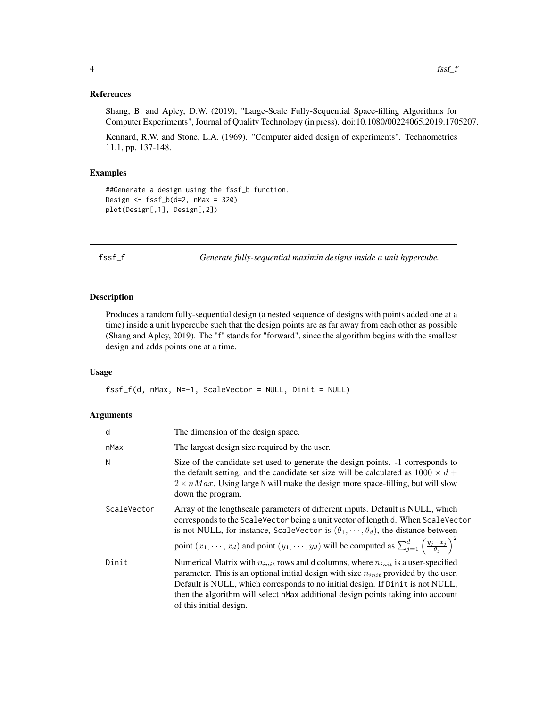#### <span id="page-3-0"></span>References

Shang, B. and Apley, D.W. (2019), "Large-Scale Fully-Sequential Space-filling Algorithms for Computer Experiments", Journal of Quality Technology (in press). doi:10.1080/00224065.2019.1705207.

Kennard, R.W. and Stone, L.A. (1969). "Computer aided design of experiments". Technometrics 11.1, pp. 137-148.

#### Examples

##Generate a design using the fssf\_b function. Design  $\le$  fssf\_b(d=2, nMax = 320) plot(Design[,1], Design[,2])

fssf\_f *Generate fully-sequential maximin designs inside a unit hypercube.*

### Description

Produces a random fully-sequential design (a nested sequence of designs with points added one at a time) inside a unit hypercube such that the design points are as far away from each other as possible (Shang and Apley, 2019). The "f" stands for "forward", since the algorithm begins with the smallest design and adds points one at a time.

#### Usage

 $fssf_f(d, nMax, N=-1, ScaleVector = NULL, Dinit = NULL)$ 

#### Arguments

| d           | The dimension of the design space.                                                                                                                                                                                                                                                                                                                                                                            |
|-------------|---------------------------------------------------------------------------------------------------------------------------------------------------------------------------------------------------------------------------------------------------------------------------------------------------------------------------------------------------------------------------------------------------------------|
| nMax        | The largest design size required by the user.                                                                                                                                                                                                                                                                                                                                                                 |
| N           | Size of the candidate set used to generate the design points. -1 corresponds to<br>the default setting, and the candidate set size will be calculated as $1000 \times d +$<br>$2 \times nMax$ . Using large N will make the design more space-filling, but will slow<br>down the program.                                                                                                                     |
| ScaleVector | Array of the lengthscale parameters of different inputs. Default is NULL, which<br>corresponds to the ScaleVector being a unit vector of length d. When ScaleVector<br>is not NULL, for instance, ScaleVector is $(\theta_1, \dots, \theta_d)$ , the distance between<br>point $(x_1, \dots, x_d)$ and point $(y_1, \dots, y_d)$ will be computed as $\sum_{j=1}^d \left(\frac{y_j - x_j}{\theta_i}\right)^2$ |
| Dinit       | Numerical Matrix with $n_{init}$ rows and d columns, where $n_{init}$ is a user-specified<br>parameter. This is an optional initial design with size $n_{init}$ provided by the user.<br>Default is NULL, which corresponds to no initial design. If Dinit is not NULL,<br>then the algorithm will select nMax additional design points taking into account<br>of this initial design.                        |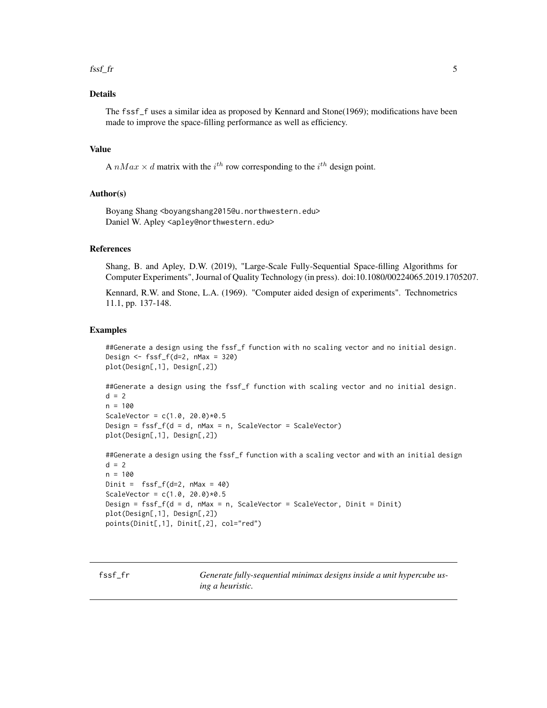#### <span id="page-4-0"></span> $fssf\_fr$  5

# Details

The fssf\_f uses a similar idea as proposed by Kennard and Stone(1969); modifications have been made to improve the space-filling performance as well as efficiency.

## Value

A  $nMax \times d$  matrix with the  $i^{th}$  row corresponding to the  $i^{th}$  design point.

#### Author(s)

Boyang Shang <boyangshang2015@u.northwestern.edu> Daniel W. Apley <apley@northwestern.edu>

#### References

Shang, B. and Apley, D.W. (2019), "Large-Scale Fully-Sequential Space-filling Algorithms for Computer Experiments", Journal of Quality Technology (in press). doi:10.1080/00224065.2019.1705207.

Kennard, R.W. and Stone, L.A. (1969). "Computer aided design of experiments". Technometrics 11.1, pp. 137-148.

#### Examples

```
##Generate a design using the fssf_f function with no scaling vector and no initial design.
Design \le fssf_f(d=2, nMax = 320)
plot(Design[,1], Design[,2])
```
##Generate a design using the fssf\_f function with scaling vector and no initial design.  $d = 2$  $n = 100$ ScaleVector =  $c(1.0, 20.0)*0.5$ 

Design =  $fssf_f(d = d, nMax = n, ScaleVector = ScaleVector)$ plot(Design[,1], Design[,2])

##Generate a design using the fssf\_f function with a scaling vector and with an initial design  $d = 2$  $n = 100$ 

```
Dinit = fssf_f(de2, nMax = 40)ScaleVector = c(1.0, 20.0)*0.5Design = fssf_f(d = d, Max = n, ScaleVector = ScaleVector, Dinit = Dinit)plot(Design[,1], Design[,2])
points(Dinit[,1], Dinit[,2], col="red")
```
fssf\_fr *Generate fully-sequential minimax designs inside a unit hypercube using a heuristic.*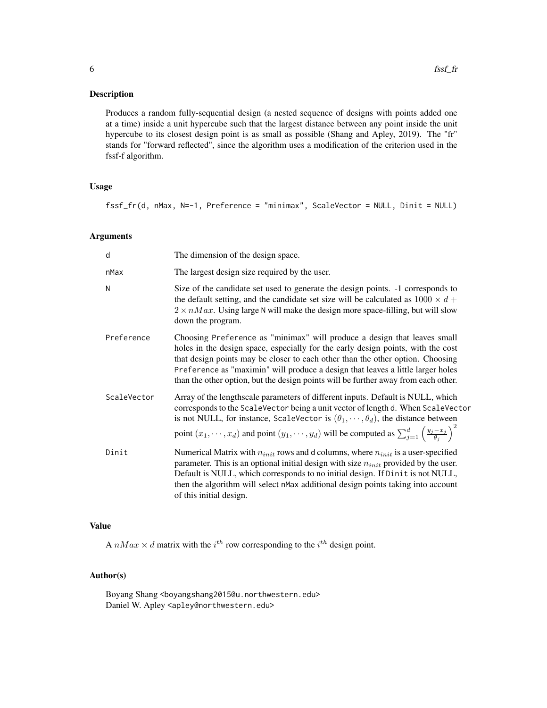# Description

Produces a random fully-sequential design (a nested sequence of designs with points added one at a time) inside a unit hypercube such that the largest distance between any point inside the unit hypercube to its closest design point is as small as possible (Shang and Apley, 2019). The "fr" stands for "forward reflected", since the algorithm uses a modification of the criterion used in the fssf-f algorithm.

# Usage

fssf\_fr(d, nMax, N=-1, Preference = "minimax", ScaleVector = NULL, Dinit = NULL)

# Arguments

| d           | The dimension of the design space.                                                                                                                                                                                                                                                                                                                                                                                      |
|-------------|-------------------------------------------------------------------------------------------------------------------------------------------------------------------------------------------------------------------------------------------------------------------------------------------------------------------------------------------------------------------------------------------------------------------------|
| nMax        | The largest design size required by the user.                                                                                                                                                                                                                                                                                                                                                                           |
| N           | Size of the candidate set used to generate the design points. -1 corresponds to<br>the default setting, and the candidate set size will be calculated as $1000 \times d +$<br>$2 \times nMax$ . Using large N will make the design more space-filling, but will slow<br>down the program.                                                                                                                               |
| Preference  | Choosing Preference as "minimax" will produce a design that leaves small<br>holes in the design space, especially for the early design points, with the cost<br>that design points may be closer to each other than the other option. Choosing<br>Preference as "maximin" will produce a design that leaves a little larger holes<br>than the other option, but the design points will be further away from each other. |
| ScaleVector | Array of the lengthscale parameters of different inputs. Default is NULL, which<br>corresponds to the ScaleVector being a unit vector of length d. When ScaleVector<br>is not NULL, for instance, ScaleVector is $(\theta_1, \dots, \theta_d)$ , the distance between<br>point $(x_1, \dots, x_d)$ and point $(y_1, \dots, y_d)$ will be computed as $\sum_{j=1}^d \left(\frac{y_j - x_j}{\theta_j}\right)^2$           |
| Dinit       | Numerical Matrix with $n_{init}$ rows and d columns, where $n_{init}$ is a user-specified<br>parameter. This is an optional initial design with size $n_{init}$ provided by the user.<br>Default is NULL, which corresponds to no initial design. If Dinit is not NULL,<br>then the algorithm will select nMax additional design points taking into account<br>of this initial design.                                  |

# Value

A  $nMax \times d$  matrix with the  $i^{th}$  row corresponding to the  $i^{th}$  design point.

# Author(s)

Boyang Shang <boyangshang2015@u.northwestern.edu> Daniel W. Apley <apley@northwestern.edu>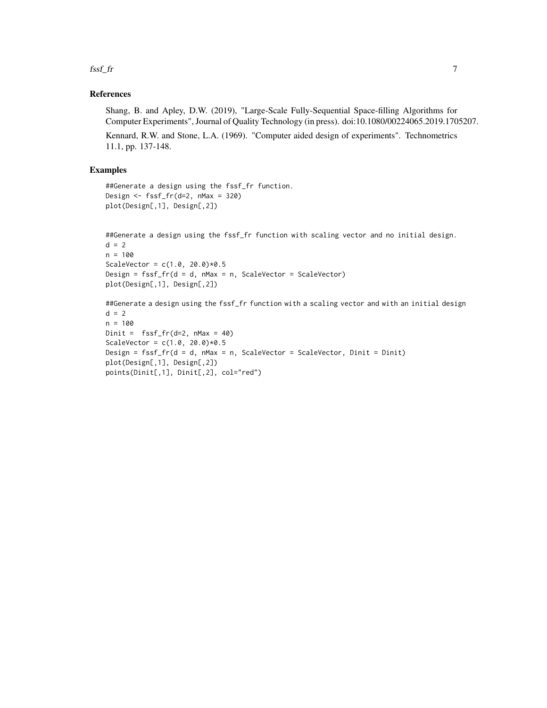fssf\_fr 7

# References

Shang, B. and Apley, D.W. (2019), "Large-Scale Fully-Sequential Space-filling Algorithms for Computer Experiments", Journal of Quality Technology (in press). doi:10.1080/00224065.2019.1705207.

Kennard, R.W. and Stone, L.A. (1969). "Computer aided design of experiments". Technometrics 11.1, pp. 137-148.

#### Examples

```
##Generate a design using the fssf_fr function.
Design <- fssf_fr(d=2, nMax = 320)
plot(Design[,1], Design[,2])
```

```
##Generate a design using the fssf_fr function with scaling vector and no initial design.
d = 2n = 100
ScaleVector = c(1.0, 20.0)*0.5Design = fssf_fr(d = d, nMax = n, ScaleVector = ScaleVector)
plot(Design[,1], Design[,2])
```
##Generate a design using the fssf\_fr function with a scaling vector and with an initial design  $d = 2$ n = 100 Dinit =  $fssf.fr(d=2, nMax = 40)$ ScaleVector =  $c(1.0, 20.0)*0.5$ Design = fssf\_fr(d = d, nMax = n, ScaleVector = ScaleVector, Dinit = Dinit) plot(Design[,1], Design[,2]) points(Dinit[,1], Dinit[,2], col="red")